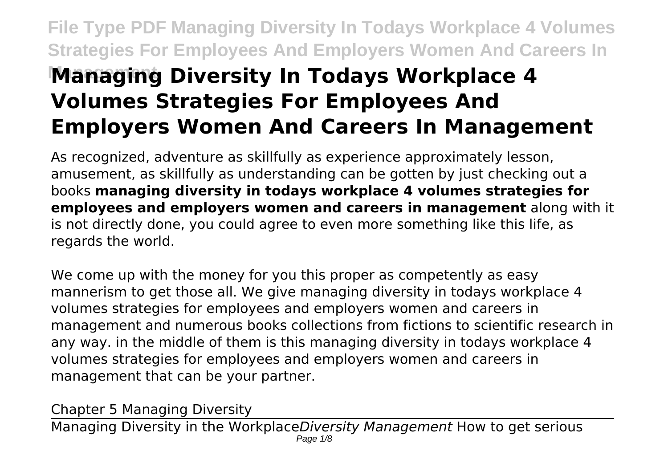## **File Type PDF Managing Diversity In Todays Workplace 4 Volumes Strategies For Employees And Employers Women And Careers In Managing Diversity In Todays Workplace 4 Volumes Strategies For Employees And Employers Women And Careers In Management**

As recognized, adventure as skillfully as experience approximately lesson, amusement, as skillfully as understanding can be gotten by just checking out a books **managing diversity in todays workplace 4 volumes strategies for employees and employers women and careers in management** along with it is not directly done, you could agree to even more something like this life, as regards the world.

We come up with the money for you this proper as competently as easy mannerism to get those all. We give managing diversity in todays workplace 4 volumes strategies for employees and employers women and careers in management and numerous books collections from fictions to scientific research in any way. in the middle of them is this managing diversity in todays workplace 4 volumes strategies for employees and employers women and careers in management that can be your partner.

Chapter 5 Managing Diversity

Managing Diversity in the Workplace*Diversity Management* How to get serious Page  $1/8$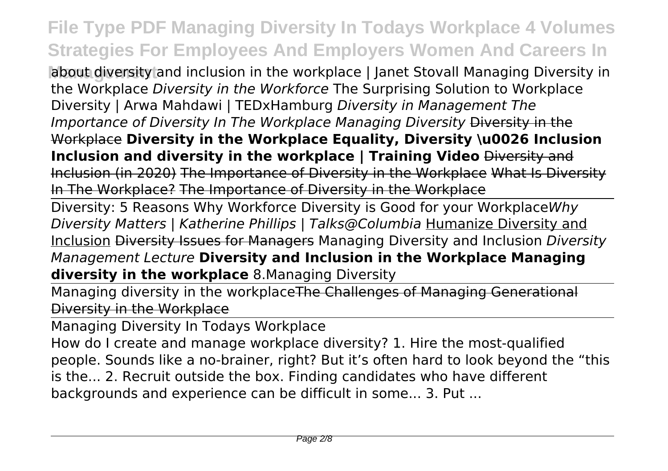**About diversity and inclusion in the workplace | Janet Stovall Managing Diversity in** the Workplace *Diversity in the Workforce* The Surprising Solution to Workplace Diversity | Arwa Mahdawi | TEDxHamburg *Diversity in Management The Importance of Diversity In The Workplace Managing Diversity Diversity in the* Workplace **Diversity in the Workplace Equality, Diversity \u0026 Inclusion Inclusion and diversity in the workplace | Training Video** Diversity and Inclusion (in 2020) The Importance of Diversity in the Workplace What Is Diversity In The Workplace? The Importance of Diversity in the Workplace

Diversity: 5 Reasons Why Workforce Diversity is Good for your Workplace*Why Diversity Matters | Katherine Phillips | Talks@Columbia* Humanize Diversity and Inclusion Diversity Issues for Managers Managing Diversity and Inclusion *Diversity Management Lecture* **Diversity and Inclusion in the Workplace Managing diversity in the workplace** 8.Managing Diversity

Managing diversity in the workplaceThe Challenges of Managing Generational Diversity in the Workplace

Managing Diversity In Todays Workplace

How do I create and manage workplace diversity? 1. Hire the most-qualified people. Sounds like a no-brainer, right? But it's often hard to look beyond the "this is the... 2. Recruit outside the box. Finding candidates who have different backgrounds and experience can be difficult in some... 3. Put ...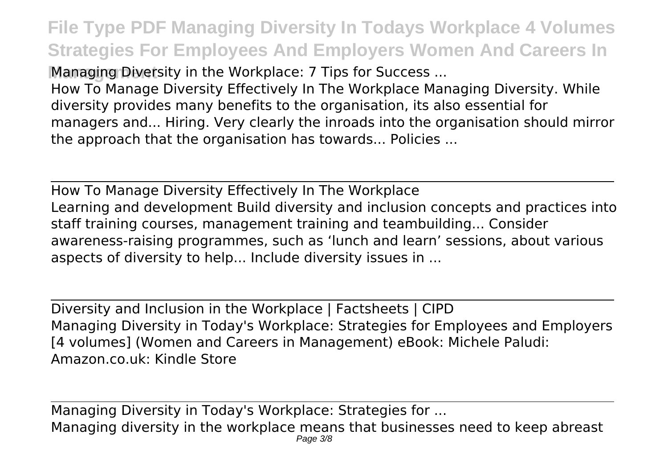**Managing Diversity in the Workplace: 7 Tips for Success ...** 

How To Manage Diversity Effectively In The Workplace Managing Diversity. While diversity provides many benefits to the organisation, its also essential for managers and... Hiring. Very clearly the inroads into the organisation should mirror the approach that the organisation has towards... Policies ...

How To Manage Diversity Effectively In The Workplace Learning and development Build diversity and inclusion concepts and practices into staff training courses, management training and teambuilding... Consider awareness-raising programmes, such as 'lunch and learn' sessions, about various aspects of diversity to help... Include diversity issues in ...

Diversity and Inclusion in the Workplace | Factsheets | CIPD Managing Diversity in Today's Workplace: Strategies for Employees and Employers [4 volumes] (Women and Careers in Management) eBook: Michele Paludi: Amazon.co.uk: Kindle Store

Managing Diversity in Today's Workplace: Strategies for ... Managing diversity in the workplace means that businesses need to keep abreast Page 3/8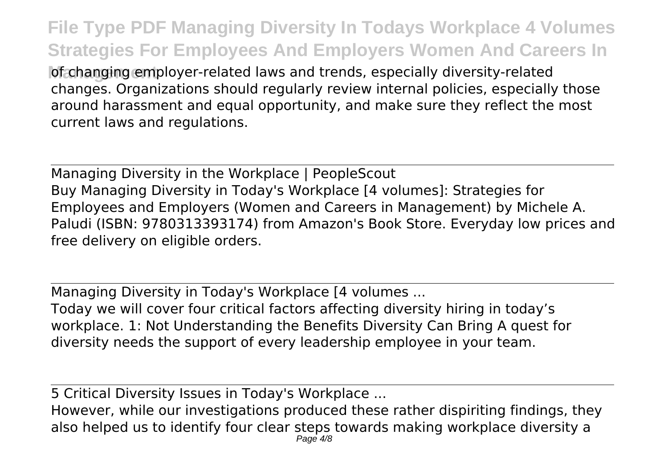of changing employer-related laws and trends, especially diversity-related changes. Organizations should regularly review internal policies, especially those around harassment and equal opportunity, and make sure they reflect the most current laws and regulations.

Managing Diversity in the Workplace | PeopleScout Buy Managing Diversity in Today's Workplace [4 volumes]: Strategies for Employees and Employers (Women and Careers in Management) by Michele A. Paludi (ISBN: 9780313393174) from Amazon's Book Store. Everyday low prices and free delivery on eligible orders.

Managing Diversity in Today's Workplace [4 volumes ... Today we will cover four critical factors affecting diversity hiring in today's workplace. 1: Not Understanding the Benefits Diversity Can Bring A quest for diversity needs the support of every leadership employee in your team.

5 Critical Diversity Issues in Today's Workplace ...

However, while our investigations produced these rather dispiriting findings, they also helped us to identify four clear steps towards making workplace diversity a Page  $4/8$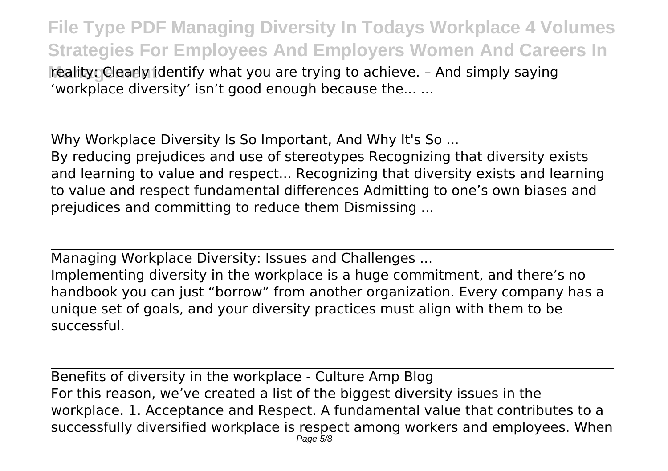**reality: Clearly identify what you are trying to achieve. - And simply saying** 'workplace diversity' isn't good enough because the... ...

Why Workplace Diversity Is So Important, And Why It's So ... By reducing prejudices and use of stereotypes Recognizing that diversity exists and learning to value and respect... Recognizing that diversity exists and learning to value and respect fundamental differences Admitting to one's own biases and prejudices and committing to reduce them Dismissing ...

Managing Workplace Diversity: Issues and Challenges ...

Implementing diversity in the workplace is a huge commitment, and there's no handbook you can just "borrow" from another organization. Every company has a unique set of goals, and your diversity practices must align with them to be successful.

Benefits of diversity in the workplace - Culture Amp Blog For this reason, we've created a list of the biggest diversity issues in the workplace. 1. Acceptance and Respect. A fundamental value that contributes to a successfully diversified workplace is respect among workers and employees. When Page 5/8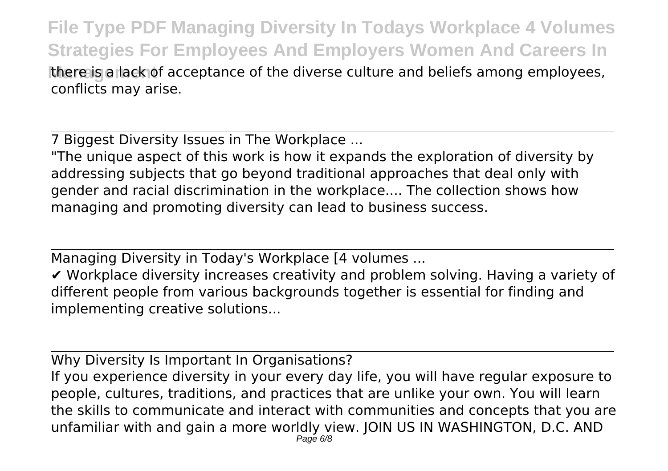**File Type PDF Managing Diversity In Todays Workplace 4 Volumes Strategies For Employees And Employers Women And Careers In** there is a lack of acceptance of the diverse culture and beliefs among employees, conflicts may arise.

7 Biggest Diversity Issues in The Workplace ...

"The unique aspect of this work is how it expands the exploration of diversity by addressing subjects that go beyond traditional approaches that deal only with gender and racial discrimination in the workplace.... The collection shows how managing and promoting diversity can lead to business success.

Managing Diversity in Today's Workplace [4 volumes ...

✔ Workplace diversity increases creativity and problem solving. Having a variety of different people from various backgrounds together is essential for finding and implementing creative solutions...

Why Diversity Is Important In Organisations? If you experience diversity in your every day life, you will have regular exposure to people, cultures, traditions, and practices that are unlike your own. You will learn the skills to communicate and interact with communities and concepts that you are unfamiliar with and gain a more worldly view. JOIN US IN WASHINGTON, D.C. AND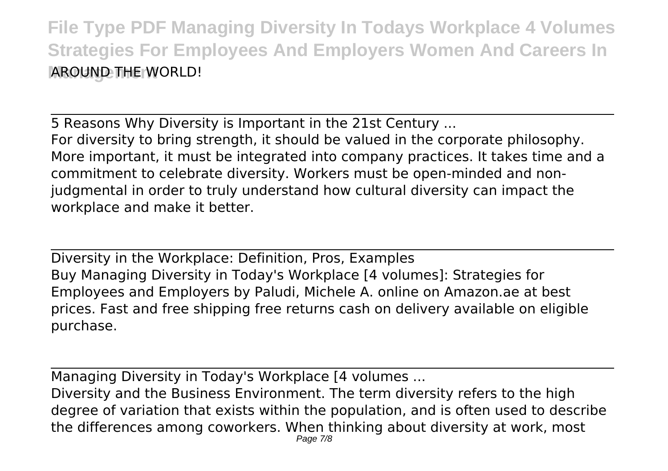5 Reasons Why Diversity is Important in the 21st Century ... For diversity to bring strength, it should be valued in the corporate philosophy. More important, it must be integrated into company practices. It takes time and a commitment to celebrate diversity. Workers must be open-minded and nonjudgmental in order to truly understand how cultural diversity can impact the workplace and make it better.

Diversity in the Workplace: Definition, Pros, Examples Buy Managing Diversity in Today's Workplace [4 volumes]: Strategies for Employees and Employers by Paludi, Michele A. online on Amazon.ae at best prices. Fast and free shipping free returns cash on delivery available on eligible purchase.

Managing Diversity in Today's Workplace [4 volumes ...

Diversity and the Business Environment. The term diversity refers to the high degree of variation that exists within the population, and is often used to describe the differences among coworkers. When thinking about diversity at work, most